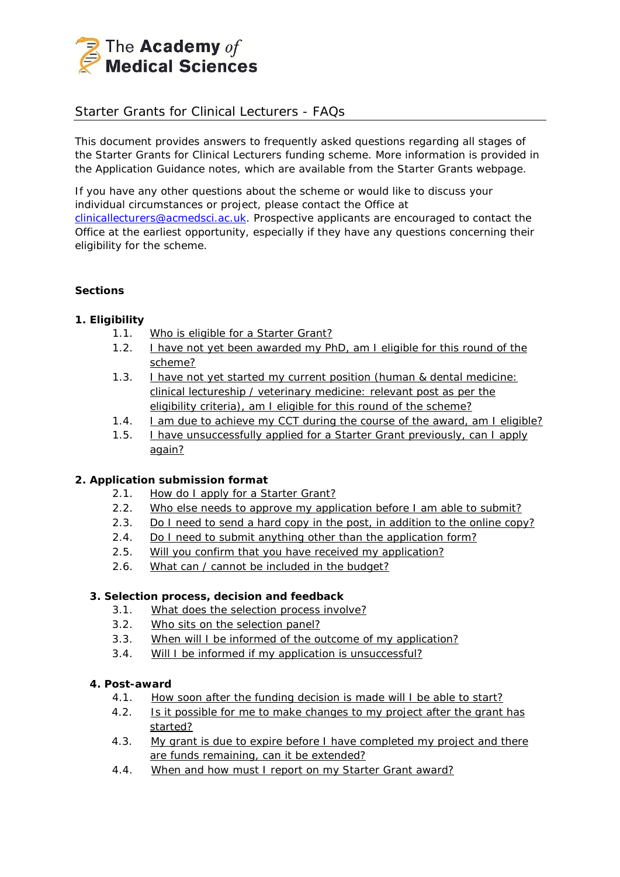

# Starter Grants for Clinical Lecturers - FAQs

This document provides answers to frequently asked questions regarding all stages of the Starter Grants for Clinical Lecturers funding scheme. More information is provided in the Application Guidance notes, which are available from the Starter Grants webpage.

If you have any other questions about the scheme or would like to discuss your individual circumstances or project, please contact the Office at [clinicallecturers@acmedsci.ac.uk.](mailto:clinicallecturers@acmedsci.ac.uk) Prospective applicants are encouraged to contact the Office at the earliest opportunity, especially if they have any questions concerning their eligibility for the scheme.

### **Sections**

# *1. Eligibility*

- 1.1. [Who is eligible for a Starter Grant?](#page-1-0)
- 1.2. [I have not yet been awarded my PhD, am I eligible for this](#page-2-0) round of the [scheme?](#page-2-0)
- 1.3. **I have not yet started my current position (human & dental medicine:** clinical lectureship / [veterinary medicine: relevant post as per the](#page-2-1)  [eligibility criteria\), am I eligible for this](#page-2-1) round of the scheme?
- 1.4. L am due to achieve my CCT during the course of the award, am I eligible?
- 1.5. [I have unsuccessfully applied for a Starter Grant](#page-2-3) previously, can I apply [again?](#page-2-3)

# *2. Application submission format*

- 2.1. [How do I apply for a Starter Grant?](#page-3-0)
- 2.2. [Who else needs to approve my application before I am able to submit?](#page-3-1)
- 2.3. [Do I need to send a hard copy in the post, in addition to the online copy?](#page-3-2)
- 2.4. [Do I need to submit anything other than the application form?](#page-3-3)
- 2.5. [Will you confirm that you have received my application?](#page-3-4)
- 2.6. [What can / cannot be included in the budget?](#page-3-5)

# *3. Selection process, decision and feedback*

- 3.1. [What does the selection process involve?](#page-4-0)
- 3.2. [Who sits on the selection panel?](#page-4-1)
- 3.3. [When will I be informed of the outcome of my application?](#page-4-2)
- 3.4. [Will I be informed if my application is unsuccessful?](#page-4-3)

#### *4. Post-award*

- 4.1. [How soon after the funding decision is made will I be able to start?](#page-4-4)
- 4.2. [Is it possible for me to make changes to my project after the grant has](#page-4-5)  [started?](#page-4-5)
- 4.3. My grant is due to expire before I have completed my project and there [are funds remaining, can it be extended?](#page-5-0)
- 4.4. [When and how must I report on my Starter Grant award?](#page-5-1)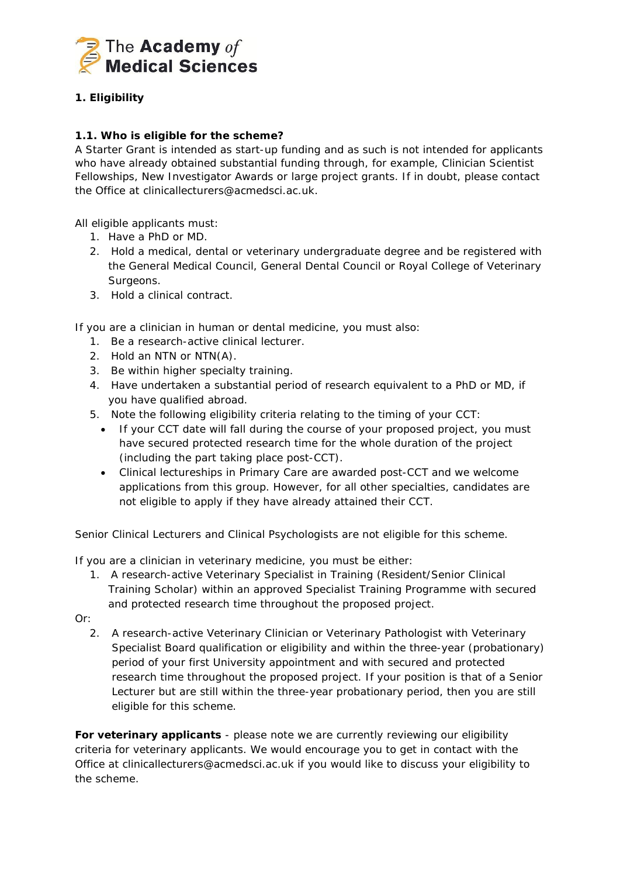

# **1.** *Eligibility*

# <span id="page-1-0"></span>**1.1. Who is eligible for the scheme?**

A Starter Grant is intended as start-up funding and as such is not intended for applicants who have already obtained substantial funding through, for example, Clinician Scientist Fellowships, New Investigator Awards or large project grants. If in doubt, please contact the Office at clinicallecturers@acmedsci.ac.uk.

All eligible applicants must:

- 1. Have a PhD or MD.
- 2. Hold a medical, dental or veterinary undergraduate degree and be registered with the General Medical Council, General Dental Council or Royal College of Veterinary Surgeons.
- 3. Hold a clinical contract.

If you are a clinician in human or dental medicine, you must also:

- 1. Be a research-active clinical lecturer.
- 2. Hold an NTN or NTN(A).
- 3. Be within higher specialty training.
- 4. Have undertaken a substantial period of research equivalent to a PhD or MD, if you have qualified abroad.
- 5. Note the following eligibility criteria relating to the timing of your CCT:
	- If your CCT date will fall during the course of your proposed project, you must have secured protected research time for the whole duration of the project (including the part taking place post-CCT).
	- Clinical lectureships in Primary Care are awarded post-CCT and we welcome applications from this group. However, for all other specialties, candidates are not eligible to apply if they have already attained their CCT.

Senior Clinical Lecturers and Clinical Psychologists are not eligible for this scheme.

If you are a clinician in veterinary medicine, you must be either:

1. A research-active Veterinary Specialist in Training (Resident/Senior Clinical Training Scholar) within an approved Specialist Training Programme with secured and protected research time throughout the proposed project.

Or:

2. A research-active Veterinary Clinician or Veterinary Pathologist with Veterinary Specialist Board qualification or eligibility and within the three-year (probationary) period of your first University appointment and with secured and protected research time throughout the proposed project. If your position is that of a Senior Lecturer but are still within the three-year probationary period, then you are still eligible for this scheme.

**For veterinary applicants** - please note we are currently reviewing our eligibility criteria for veterinary applicants. We would encourage you to get in contact with the Office at clinicallecturers@acmedsci.ac.uk if you would like to discuss your eligibility to the scheme.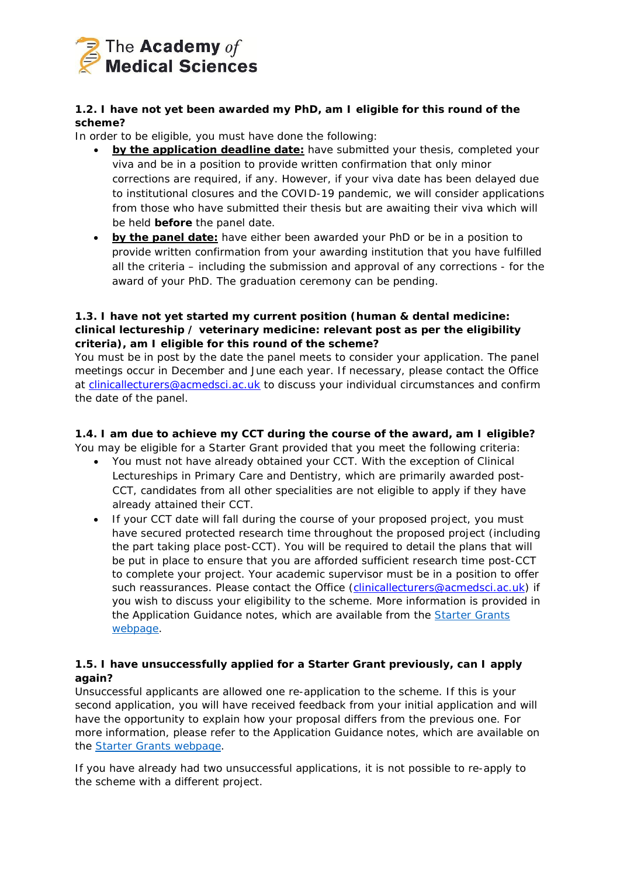

# <span id="page-2-0"></span>**1.2. I have not yet been awarded my PhD, am I eligible for this round of the scheme?**

In order to be eligible, you must have done the following:

- **by the application deadline date:** have submitted your thesis, completed your viva and be in a position to provide written confirmation that only minor corrections are required, if any. However, if your viva date has been delayed due to institutional closures and the COVID-19 pandemic, we will consider applications from those who have submitted their thesis but are awaiting their viva which will be held **before** the panel date.
- **by the panel date:** have either been awarded your PhD or be in a position to provide written confirmation from your awarding institution that you have fulfilled all the criteria – including the submission and approval of any corrections - for the award of your PhD. The graduation ceremony can be pending.

### <span id="page-2-1"></span>**1.3. I have not yet started my current position (human & dental medicine: clinical lectureship / veterinary medicine: relevant post as per the eligibility criteria), am I eligible for this round of the scheme?**

You must be in post by the date the panel meets to consider your application. The panel meetings occur in December and June each year. If necessary, please contact the Office at [clinicallecturers@acmedsci.ac.uk](mailto:clinicallecturers@acmedsci.ac.uk) to discuss your individual circumstances and confirm the date of the panel.

# <span id="page-2-2"></span>**1.4. I am due to achieve my CCT during the course of the award, am I eligible?**

You may be eligible for a Starter Grant provided that you meet the following criteria:

- You must not have already obtained your CCT. With the exception of Clinical Lectureships in Primary Care and Dentistry, which are primarily awarded post-CCT, candidates from all other specialities are not eligible to apply if they have already attained their CCT.
- If your CCT date will fall during the course of your proposed project, you must have secured protected research time throughout the proposed project (including the part taking place post-CCT). You will be required to detail the plans that will be put in place to ensure that you are afforded sufficient research time post-CCT to complete your project. Your academic supervisor must be in a position to offer such reassurances. Please contact the Office [\(clinicallecturers@acmedsci.ac.uk\)](mailto:clinicallecturers@acmedsci.ac.uk) if you wish to discuss your eligibility to the scheme. More information is provided in the Application Guidance notes, which are available from the [Starter Grants](http://www.acmedsci.ac.uk/careers/funding-schemes/starter-grants/)  [webpage.](http://www.acmedsci.ac.uk/careers/funding-schemes/starter-grants/)

# <span id="page-2-3"></span>**1.5. I have unsuccessfully applied for a Starter Grant previously, can I apply again?**

Unsuccessful applicants are allowed one re-application to the scheme. If this is your second application, you will have received feedback from your initial application and will have the opportunity to explain how your proposal differs from the previous one. For more information, please refer to the Application Guidance notes, which are available on the [Starter Grants webpage.](http://www.acmedsci.ac.uk/careers/funding-schemes/starter-grants/)

If you have already had two unsuccessful applications, it is not possible to re-apply to the scheme with a different project.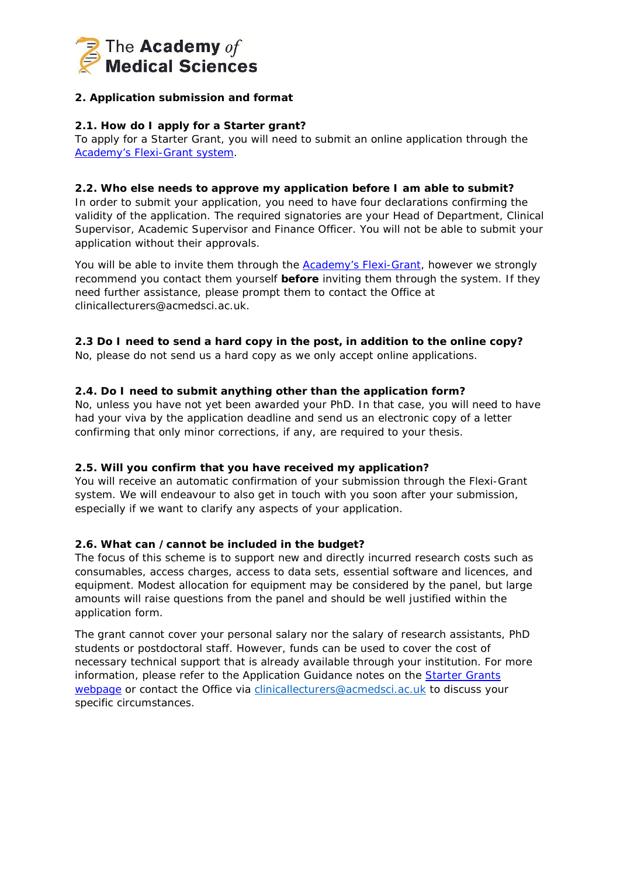

# **2.** *Application submission and format*

### <span id="page-3-0"></span>**2.1. How do I apply for a Starter grant?**

To apply for a Starter Grant, you will need to submit an online application through the [Academy's Flexi-Grant](https://acmedsci.flexigrant.com/) system.

#### <span id="page-3-1"></span>**2.2. Who else needs to approve my application before I am able to submit?**

In order to submit your application, you need to have four declarations confirming the validity of the application. The required signatories are your Head of Department, Clinical Supervisor, Academic Supervisor and Finance Officer. You will not be able to submit your application without their approvals.

You will be able to invite them through the **Academy's Flexi-Grant**, however we strongly recommend you contact them yourself **before** inviting them through the system. If they need further assistance, please prompt them to contact the Office at clinicallecturers@acmedsci.ac.uk.

### <span id="page-3-2"></span>**2.3 Do I need to send a hard copy in the post, in addition to the online copy?**

No, please do not send us a hard copy as we only accept online applications.

### <span id="page-3-3"></span>**2.4. Do I need to submit anything other than the application form?**

No, unless you have not yet been awarded your PhD. In that case, you will need to have had your viva by the application deadline and send us an electronic copy of a letter confirming that only minor corrections, if any, are required to your thesis.

#### <span id="page-3-4"></span>**2.5. Will you confirm that you have received my application?**

You will receive an automatic confirmation of your submission through the Flexi-Grant system. We will endeavour to also get in touch with you soon after your submission, especially if we want to clarify any aspects of your application.

#### <span id="page-3-5"></span>**2.6. What can /cannot be included in the budget?**

The focus of this scheme is to support new and directly incurred research costs such as consumables, access charges, access to data sets, essential software and licences, and equipment. Modest allocation for equipment may be considered by the panel, but large amounts will raise questions from the panel and should be well justified within the application form.

The grant cannot cover your personal salary nor the salary of research assistants, PhD students or postdoctoral staff. However, funds can be used to cover the cost of necessary technical support that is already available through your institution. For more information, please refer to the Application Guidance notes on the **Starter Grants** [webpage](https://acmedsci.ac.uk/grants-and-schemes/grant-schemes/starter-grants) or contact the Office via [clinicallecturers@acmedsci.ac.uk](mailto:clinicallecturers@acmedsci.ac.uk) to discuss your specific circumstances.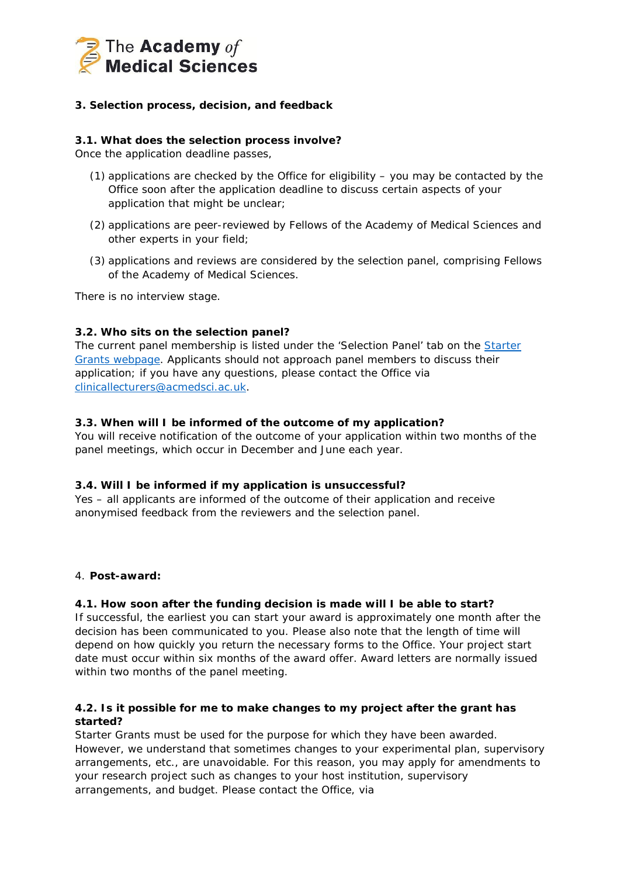

## **3.** *Selection process, decision, and feedback*

#### <span id="page-4-0"></span>**3.1. What does the selection process involve?**

Once the application deadline passes,

- (1) applications are checked by the Office for eligibility you may be contacted by the Office soon after the application deadline to discuss certain aspects of your application that might be unclear;
- (2) applications are peer-reviewed by Fellows of the Academy of Medical Sciences and other experts in your field;
- (3) applications and reviews are considered by the selection panel, comprising Fellows of the Academy of Medical Sciences.

There is no interview stage.

### <span id="page-4-1"></span>**3.2. Who sits on the selection panel?**

The current panel membership is listed under the 'Selection Panel' tab on the **Starter** [Grants webpage.](http://www.acmedsci.ac.uk/careers/funding-schemes/starter-grants/) Applicants should not approach panel members to discuss their application; if you have any questions, please contact the Office via [clinicallecturers@acmedsci.ac.uk.](mailto:clinicallecturers@acmedsci.ac.uk)

#### <span id="page-4-2"></span>**3.3. When will I be informed of the outcome of my application?**

You will receive notification of the outcome of your application within two months of the panel meetings, which occur in December and June each year.

#### <span id="page-4-3"></span>**3.4. Will I be informed if my application is unsuccessful?**

Yes – all applicants are informed of the outcome of their application and receive anonymised feedback from the reviewers and the selection panel.

#### *4. Post-award:*

#### <span id="page-4-4"></span>**4.1. How soon after the funding decision is made will I be able to start?**

If successful, the earliest you can start your award is approximately one month after the decision has been communicated to you. Please also note that the length of time will depend on how quickly you return the necessary forms to the Office. Your project start date must occur within six months of the award offer. Award letters are normally issued within two months of the panel meeting.

### <span id="page-4-5"></span>**4.2. Is it possible for me to make changes to my project after the grant has started?**

Starter Grants must be used for the purpose for which they have been awarded. However, we understand that sometimes changes to your experimental plan, supervisory arrangements, etc., are unavoidable. For this reason, you may apply for amendments to your research project such as changes to your host institution, supervisory arrangements, and budget. Please contact the Office, via